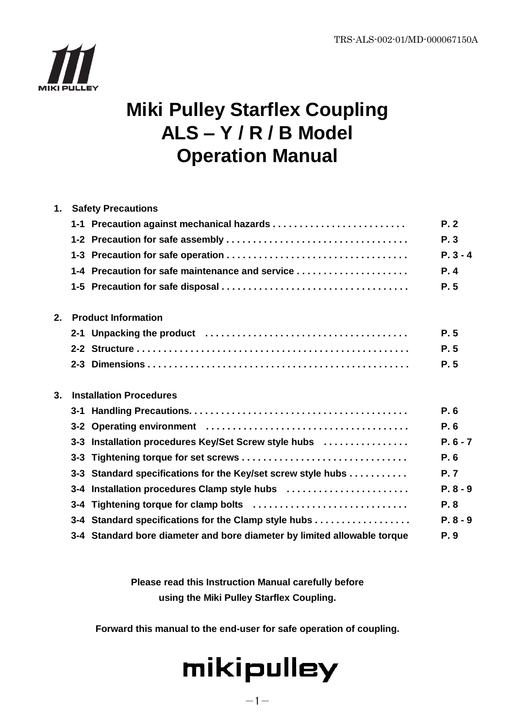

## **Miki Pulley Starflex Coupling ALS – Y / R / B Model Operation Manual**

| <b>Safety Precautions</b>                                    |            |
|--------------------------------------------------------------|------------|
|                                                              | P.2        |
|                                                              | P.3        |
|                                                              | $P. 3 - 4$ |
| 1-4 Precaution for safe maintenance and service              | P.4        |
|                                                              | P.5        |
| <b>Product Information</b>                                   |            |
|                                                              | P.5        |
|                                                              | P.5        |
|                                                              | P.5        |
| <b>Installation Procedures</b>                               |            |
|                                                              | P.6        |
|                                                              | P.6        |
| 3-3 Installation procedures Key/Set Screw style hubs         | $P. 6 - 7$ |
|                                                              | P.6        |
| 3-3 Standard specifications for the Key/set screw style hubs | <b>P.7</b> |
| 3-4 Installation procedures Clamp style hubs                 | $P. 8 - 9$ |
|                                                              | P.8        |
|                                                              |            |
| 3-4 Standard specifications for the Clamp style hubs         | $P. 8 - 9$ |
|                                                              |            |

**Please read this Instruction Manual carefully before using the Miki Pulley Starflex Coupling.**

**Forward this manual to the end-user for safe operation of coupling.**

# mikipulley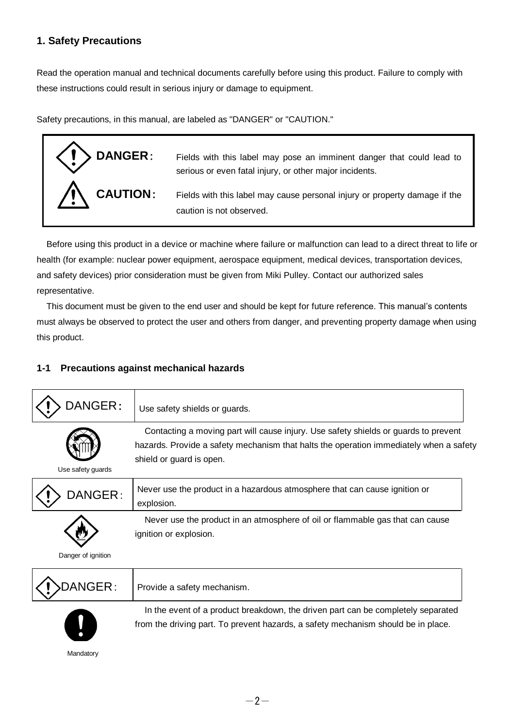#### **1. Safety Precautions**

Read the operation manual and technical documents carefully before using this product. Failure to comply with these instructions could result in serious injury or damage to equipment.

Safety precautions, in this manual, are labeled as "DANGER" or "CAUTION."



Before using this product in a device or machine where failure or malfunction can lead to a direct threat to life or health (for example: nuclear power equipment, aerospace equipment, medical devices, transportation devices, and safety devices) prior consideration must be given from Miki Pulley. Contact our authorized sales representative.

This document must be given to the end user and should be kept for future reference. This manual's contents must always be observed to protect the user and others from danger, and preventing property damage when using this product.

#### **1-1 Precautions against mechanical hazards**

| DANGER:            | Use safety shields or guards.                                                                                                                                                                             |
|--------------------|-----------------------------------------------------------------------------------------------------------------------------------------------------------------------------------------------------------|
| Use safety guards  | Contacting a moving part will cause injury. Use safety shields or guards to prevent<br>hazards. Provide a safety mechanism that halts the operation immediately when a safety<br>shield or guard is open. |
| DANGER:            | Never use the product in a hazardous atmosphere that can cause ignition or<br>explosion.                                                                                                                  |
| Danger of ignition | Never use the product in an atmosphere of oil or flammable gas that can cause<br>ignition or explosion.                                                                                                   |
| NGER :             | Provide a safety mechanism.                                                                                                                                                                               |



In the event of a product breakdown, the driven part can be completely separated from the driving part. To prevent hazards, a safety mechanism should be in place.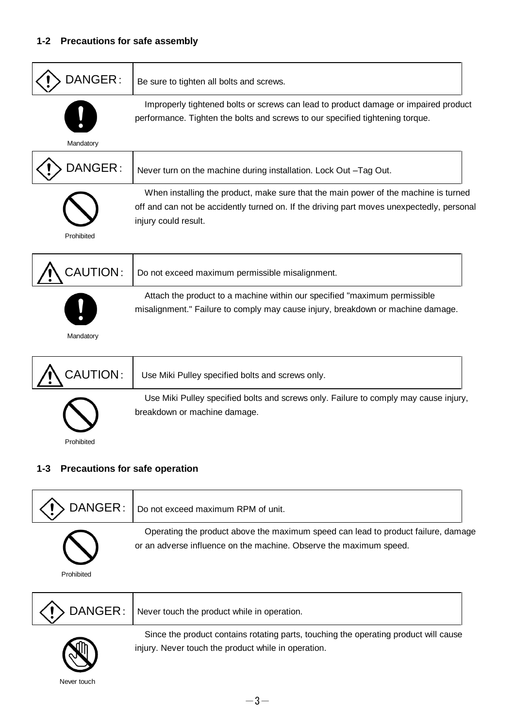| DANGER:    | Be sure to tighten all bolts and screws.                                                                                                                                                                 |
|------------|----------------------------------------------------------------------------------------------------------------------------------------------------------------------------------------------------------|
| Mandatory  | Improperly tightened bolts or screws can lead to product damage or impaired product<br>performance. Tighten the bolts and screws to our specified tightening torque.                                     |
| DANGER:    | Never turn on the machine during installation. Lock Out -Tag Out.                                                                                                                                        |
| Prohibited | When installing the product, make sure that the main power of the machine is turned<br>off and can not be accidently turned on. If the driving part moves unexpectedly, personal<br>injury could result. |
| CAUTION:   | Do not exceed maximum permissible misalignment.                                                                                                                                                          |
| Mandatory  | Attach the product to a machine within our specified "maximum permissible<br>misalignment." Failure to comply may cause injury, breakdown or machine damage.                                             |
| CAUTION:   | Use Miki Pulley specified bolts and screws only.                                                                                                                                                         |
| Prohibited | Use Miki Pulley specified bolts and screws only. Failure to comply may cause injury,<br>breakdown or machine damage.                                                                                     |

#### **1-3 Precautions for safe operation**

|            | $\sum$ DANGER : $\big $ Do not exceed maximum RPM of unit.                                                                                              |
|------------|---------------------------------------------------------------------------------------------------------------------------------------------------------|
| Prohibited | Operating the product above the maximum speed can lead to product failure, damage<br>or an adverse influence on the machine. Observe the maximum speed. |

|                          | $\left \left\langle \cdot\right\rangle\right\rangle$ DANGER: Never touch the product while in operation. |
|--------------------------|----------------------------------------------------------------------------------------------------------|
| $\overline{\phantom{a}}$ | Since the product contains rotating parts, touching the operating product will cause                     |



injury. Never touch the product while in operation.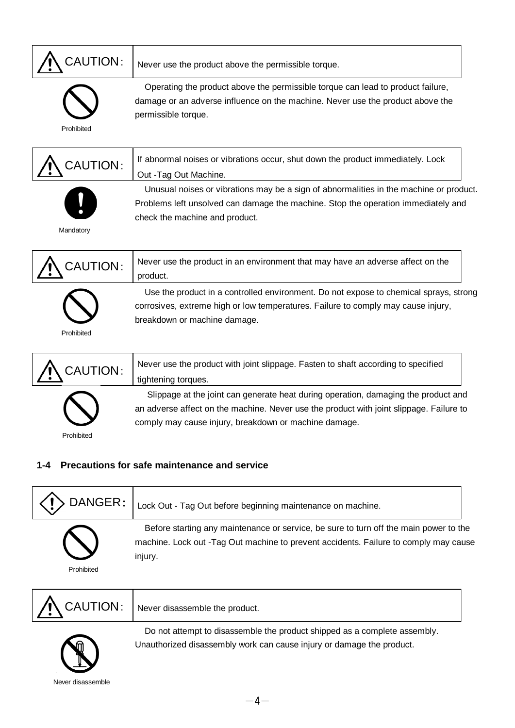|  | $\bigwedge$ CAUTION: |
|--|----------------------|
|--|----------------------|

Never use the product above the permissible torque.



Operating the product above the permissible torque can lead to product failure, damage or an adverse influence on the machine. Never use the product above the permissible torque.

Prohibited

| $\bigwedge$ CAUTION: | If abnormal noises or vibrations occur, shut down the product immediately. Lock        |  |
|----------------------|----------------------------------------------------------------------------------------|--|
|                      | Out -Tag Out Machine.                                                                  |  |
|                      | Unusual noises or vibrations may be a sign of abnormalities in the machine or product. |  |
|                      | Problems left unsolved can damage the machine. Stop the operation immediately and      |  |
|                      | check the machine and product.                                                         |  |

Mandatory





Prohibited

tightening torques. Slippage at the joint can generate heat during operation, damaging the product and an adverse affect on the machine. Never use the product with joint slippage. Failure to comply may cause injury, breakdown or machine damage.

#### **1-4 Precautions for safe maintenance and service**

| DANGER:    | Lock Out - Tag Out before beginning maintenance on machine.                                                                                                                              |
|------------|------------------------------------------------------------------------------------------------------------------------------------------------------------------------------------------|
| Prohibited | Before starting any maintenance or service, be sure to turn off the main power to the<br>machine. Lock out -Tag Out machine to prevent accidents. Failure to comply may cause<br>injury. |

| A CAUTION: Never disassemble the product.                                |  |
|--------------------------------------------------------------------------|--|
| Do not attampt to disassemble the product shipped as a complete assembly |  |



Do not attempt to disassemble the product shipped as a complete assembly. Unauthorized disassembly work can cause injury or damage the product.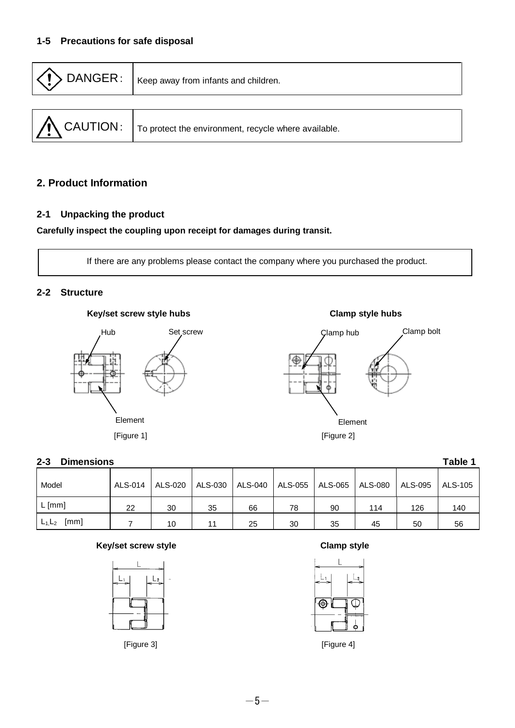| $\langle \langle ! \rangle$ DANGER:<br>Keep away from infants and children. |                                                                                               |  |
|-----------------------------------------------------------------------------|-----------------------------------------------------------------------------------------------|--|
|                                                                             |                                                                                               |  |
|                                                                             | $\int \mathbf{\Lambda}$ CAUTION: $\vert$ To protect the environment, recycle where available. |  |

#### **2. Product Information**

#### **2-1 Unpacking the product**

#### **Carefully inspect the coupling upon receipt for damages during transit.**

If there are any problems please contact the company where you purchased the product.

#### **2-2 Structure**

#### **Key/set screw style hubs Clamp style hubs**





#### **2-3 Dimensions Table 1**

| Model             | ALS-014 | ALS-020 | ALS-030   ALS-040 |    | ALS-055   ALS-065   ALS-080 |    |     | ALS-095 | ALS-105 |
|-------------------|---------|---------|-------------------|----|-----------------------------|----|-----|---------|---------|
| $L$ [mm]          | 22      | 30      | 35                | 66 | 78                          | 90 | 114 | 126     | 140     |
| [mm]<br>$L_1,L_2$ |         | 10      | 11                | 25 | 30                          | 35 | 45  | 50      | 56      |

#### **Key/set screw style Clamp style**



[Figure 3] [Figure 4]

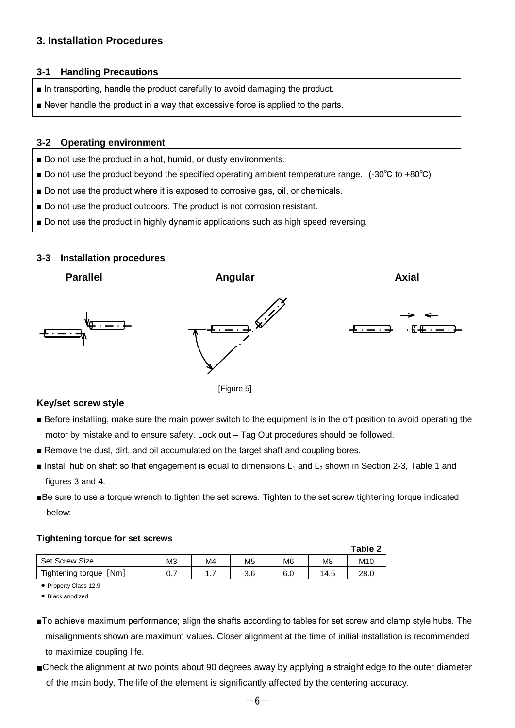#### **3. Installation Procedures**

#### **3-1 Handling Precautions**

- In transporting, handle the product carefully to avoid damaging the product.
- Never handle the product in a way that excessive force is applied to the parts.

#### **3-2 Operating environment**

- Do not use the product in a hot, humid, or dusty environments.
- Do not use the product beyond the specified operating ambient temperature range. (-30°C to +80°C)
- Do not use the product where it is exposed to corrosive gas, oil, or chemicals.
- Do not use the product outdoors. The product is not corrosion resistant.
- Do not use the product in highly dynamic applications such as high speed reversing.

#### **3-3 Installation procedures**





#### **Key/set screw style**

- Before installing, make sure the main power switch to the equipment is in the off position to avoid operating the motor by mistake and to ensure safety. Lock out – Tag Out procedures should be followed.
- Remove the dust, dirt, and oil accumulated on the target shaft and coupling bores.
- $\blacksquare$  Install hub on shaft so that engagement is equal to dimensions  $L_1$  and  $L_2$  shown in Section 2-3, Table 1 and figures 3 and 4.
- ■Be sure to use a torque wrench to tighten the set screws. Tighten to the set screw tightening torque indicated below:

#### **Tightening torque for set screws**

|                        |     |    |                |                |      | Table 2         |
|------------------------|-----|----|----------------|----------------|------|-----------------|
| Set Screw Size         | MЗ  | M4 | M <sub>5</sub> | M <sub>6</sub> | M8   | M <sub>10</sub> |
| Tightening torque [Nm] | 0.7 | .  | 3.6            | 6.0            | 14.5 | 28.0            |

• Property Class 12.9

• Black anodized

- ■To achieve maximum performance; align the shafts according to tables for set screw and clamp style hubs. The misalignments shown are maximum values. Closer alignment at the time of initial installation is recommended to maximize coupling life.
- ■Check the alignment at two points about 90 degrees away by applying a straight edge to the outer diameter of the main body. The life of the element is significantly affected by the centering accuracy.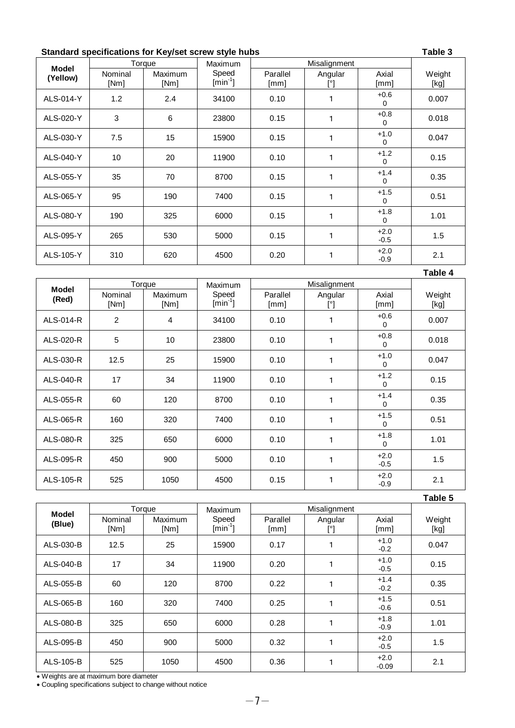#### **Standard specifications for Key/set screw style hubs Table 3**

| <b>Model</b> |         | Torque  | Maximum                        |          | Misalignment |                    |        |
|--------------|---------|---------|--------------------------------|----------|--------------|--------------------|--------|
| (Yellow)     | Nominal | Maximum | Speed                          | Parallel | Angular      | Axial              | Weight |
|              | [Nm]    | [Nm]    | $\left[\text{min}^{-1}\right]$ | [mm]     | [°]          | [mm]               | [kg]   |
| ALS-014-Y    | 1.2     | 2.4     | 34100                          | 0.10     |              | $+0.6$<br>$\Omega$ | 0.007  |
| ALS-020-Y    | 3       | 6       | 23800                          | 0.15     |              | $+0.8$<br>$\Omega$ | 0.018  |
| ALS-030-Y    | 7.5     | 15      | 15900                          | 0.15     |              | $+1.0$<br>$\Omega$ | 0.047  |
| ALS-040-Y    | 10      | 20      | 11900                          | 0.10     |              | $+1.2$<br>$\Omega$ | 0.15   |
| ALS-055-Y    | 35      | 70      | 8700                           | 0.15     |              | $+1.4$<br>$\Omega$ | 0.35   |
| ALS-065-Y    | 95      | 190     | 7400                           | 0.15     |              | $+1.5$<br>$\Omega$ | 0.51   |
| ALS-080-Y    | 190     | 325     | 6000                           | 0.15     |              | $+1.8$<br>$\Omega$ | 1.01   |
| ALS-095-Y    | 265     | 530     | 5000                           | 0.15     |              | $+2.0$<br>$-0.5$   | 1.5    |
| ALS-105-Y    | 310     | 620     | 4500                           | 0.20     |              | $+2.0$<br>$-0.9$   | 2.1    |

|              |                 |                 |                                   |                  |                         |                    | Table 4        |
|--------------|-----------------|-----------------|-----------------------------------|------------------|-------------------------|--------------------|----------------|
| <b>Model</b> |                 | Torque          | <b>Maximum</b>                    |                  |                         |                    |                |
| (Red)        | Nominal<br>[Nm] | Maximum<br>[Nm] | Speed<br>$\left[\min^{-1}\right]$ | Parallel<br>[mm] | Angular<br>$[^{\circ}]$ | Axial<br>[mm]      | Weight<br>[kg] |
| ALS-014-R    | $\overline{c}$  | 4               | 34100                             | 0.10             | 1                       | $+0.6$<br>0        | 0.007          |
| ALS-020-R    | 5               | 10              | 23800                             | 0.10             | 1                       | $+0.8$<br>0        | 0.018          |
| ALS-030-R    | 12.5            | 25              | 15900                             | 0.10<br>1        |                         | $+1.0$<br>0        | 0.047          |
| ALS-040-R    | 17              | 34              | 11900                             | 0.10             | 1                       | $+1.2$<br>0        | 0.15           |
| ALS-055-R    | 60              | 120             | 8700                              | 0.10             | 1                       |                    | 0.35           |
| ALS-065-R    | 160             | 320             | 7400                              | 0.10             | 1                       | $+1.5$<br>$\Omega$ | 0.51           |
| ALS-080-R    | 325             | 650             | 6000                              | 0.10             | 1                       | $+1.8$<br>0        | 1.01           |
| ALS-095-R    | 450             | 900             | 5000                              | 0.10             | 1                       | $+2.0$<br>$-0.5$   | 1.5            |
| ALS-105-R    | 525             | 1050            | 4500                              | 0.15             | 1                       |                    | 2.1            |

|              |                 |                        |         |                  |                |                   | Table 5        |
|--------------|-----------------|------------------------|---------|------------------|----------------|-------------------|----------------|
| <b>Model</b> |                 | Torque                 | Maximum |                  |                |                   |                |
| (Blue)       | Nominal<br>[Nm] | <b>Maximum</b><br>[Nm] |         | Parallel<br>[mm] | Angular<br>[°] | Axial<br>[mm]     | Weight<br>[kg] |
| ALS-030-B    | 12.5            | 25                     | 15900   | 0.17             |                | $+1.0$<br>$-0.2$  | 0.047          |
| ALS-040-B    | 17              | 34                     | 11900   | 0.20             |                | $+1.0$<br>$-0.5$  | 0.15           |
| ALS-055-B    | 60              | 120                    | 8700    | 0.22             |                | $+1.4$<br>$-0.2$  | 0.35           |
| ALS-065-B    | 160             | 320                    | 7400    | 0.25             |                | $+1.5$<br>$-0.6$  | 0.51           |
| ALS-080-B    | 325             | 650                    | 6000    | 0.28             |                | $+1.8$<br>$-0.9$  | 1.01           |
| ALS-095-B    | 450             | 900                    | 5000    | 0.32             |                | $+2.0$<br>$-0.5$  | 1.5            |
| ALS-105-B    | 525             | 1050                   | 4500    | 0.36             |                | $+2.0$<br>$-0.09$ | 2.1            |

Weights are at maximum bore diameter

Coupling specifications subject to change without notice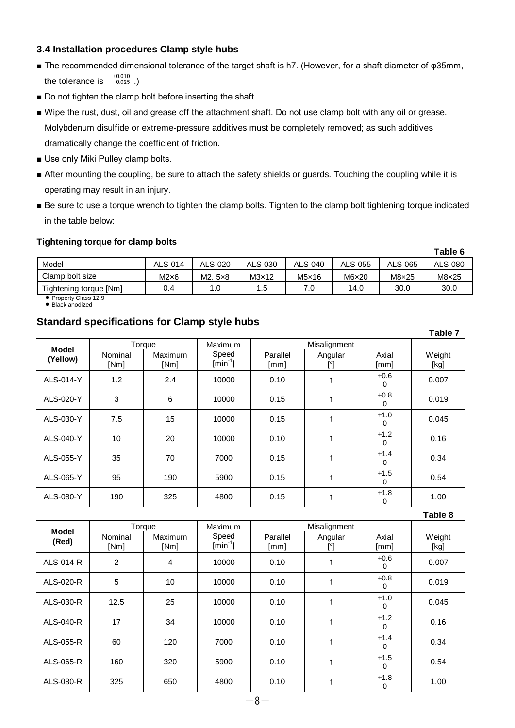#### **3.4 Installation procedures Clamp style hubs**

- The recommended dimensional tolerance of the target shaft is h7. (However, for a shaft diameter of φ35mm, the tolerance is  $\frac{+0.010}{-0.025}$ .)
- Do not tighten the clamp bolt before inserting the shaft.
- Wipe the rust, dust, oil and grease off the attachment shaft. Do not use clamp bolt with any oil or grease. Molybdenum disulfide or extreme-pressure additives must be completely removed; as such additives dramatically change the coefficient of friction.
- Use only Miki Pulley clamp bolts.
- After mounting the coupling, be sure to attach the safety shields or guards. Touching the coupling while it is operating may result in an injury.
- Be sure to use a torque wrench to tighten the clamp bolts. Tighten to the clamp bolt tightening torque indicated in the table below:

#### **Tightening torque for clamp bolts**

|                        |              |         |              |              |         |              | Table 6      |
|------------------------|--------------|---------|--------------|--------------|---------|--------------|--------------|
| Model                  | ALS-014      | ALS-020 | ALS-030      | ALS-040      | ALS-055 | ALS-065      | ALS-080      |
| Clamp bolt size        | $M2\times 6$ | M2.5x8  | $M3\times12$ | $M5\times16$ | M6x20   | $M8\times25$ | $M8\times25$ |
| Tightening torque [Nm] | 0.4          | 1.0     | 1.5          | 7.0          | 14.0    | 30.0         | 30.0         |

• Property Class 12.9 • Black anodized

### **Standard specifications for Clamp style hubs**

|              |                 |                 |                                         |                  |                |                    | Table 7        |
|--------------|-----------------|-----------------|-----------------------------------------|------------------|----------------|--------------------|----------------|
| <b>Model</b> |                 | Torque          | Maximum                                 |                  |                |                    |                |
| (Yellow)     | Nominal<br>[Nm] | Maximum<br>[Nm] | Speed<br>$\left[\text{min}^{-1}\right]$ | Parallel<br>[mm] | Angular<br>[°] | Axial<br>[mm]      | Weight<br>[kg] |
| ALS-014-Y    | 1.2             | 2.4             | 10000                                   | 0.10             |                | $+0.6$<br>0        | 0.007          |
| ALS-020-Y    | 3               | 6               | 10000                                   | 0.15             |                | $+0.8$<br>0        | 0.019          |
| ALS-030-Y    | 7.5             | 15              | 10000                                   | 0.15             |                | $+1.0$<br>0        | 0.045          |
| ALS-040-Y    | 10              | 20              | 10000                                   | 0.10             |                | $+1.2$<br>0        | 0.16           |
| ALS-055-Y    | 35              | 70              | 7000                                    | 0.15             |                | $+1.4$<br>$\Omega$ | 0.34           |
| ALS-065-Y    | 95              | 190             | 5900                                    | 0.15             |                | $+1.5$<br>0        | 0.54           |
| ALS-080-Y    | 190             | 325             | 4800                                    | 0.15             |                | $+1.8$<br>0        | 1.00           |

|           |                 |                 |                                         |                  |                |                       | Table 8        |
|-----------|-----------------|-----------------|-----------------------------------------|------------------|----------------|-----------------------|----------------|
| Model     |                 | Torque          | <b>Maximum</b>                          |                  |                |                       |                |
| (Red)     | Nominal<br>[Nm] | Maximum<br>[Nm] | Speed<br>$\left[\text{min}^{-1}\right]$ | Parallel<br>[mm] | Angular<br>[°] | Axial<br>[mm]         | Weight<br>[kg] |
| ALS-014-R | 2               | 4               | 10000                                   | 0.10             |                | $+0.6$<br>$\Omega$    | 0.007          |
| ALS-020-R | 5               | 10 <sup>°</sup> | 10000                                   | 0.10             |                | $+0.8$<br>$\Omega$    | 0.019          |
| ALS-030-R | 12.5            | 25              | 10000                                   | 0.10             |                | $+1.0$<br>$\Omega$    | 0.045          |
| ALS-040-R | 17              | 34              | 10000                                   | 0.10             |                | $+1.2$<br>$\Omega$    | 0.16           |
| ALS-055-R | 60              | 120             | 7000                                    | 0.10             |                | $+1.4$<br>$\Omega$    | 0.34           |
| ALS-065-R | 160             | 320             | 5900                                    | 0.10             |                | $+1.5$<br>$\mathbf 0$ | 0.54           |
| ALS-080-R | 325             | 650             | 4800                                    | 0.10             |                | $+1.8$<br>$\mathbf 0$ | 1.00           |